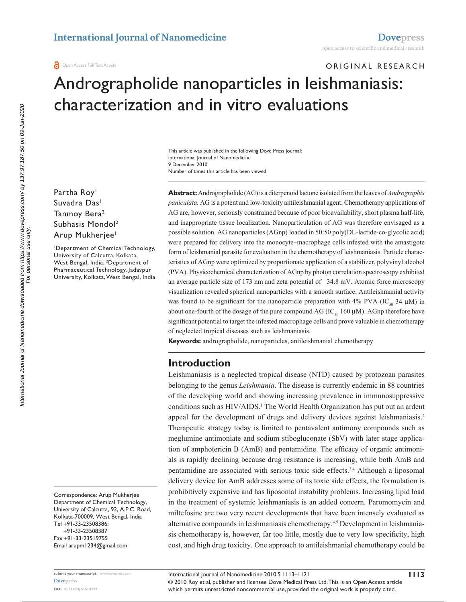# ORIGINAL RESEARCH Andrographolide nanoparticles in leishmaniasis: characterization and in vitro evaluations

Number of times this article has been viewed This article was published in the following Dove Press journal: International Journal of Nanomedicine 9 December 2010

Partha Roy<sup>1</sup> Suvadra Das<sup>1</sup> Tanmoy Bera<sup>2</sup> Subhasis Mondol2 Arup Mukherjee<sup>1</sup>

1 Department of Chemical Technology, University of Calcutta, Kolkata, West Bengal, India; <sup>2</sup>Department of Pharmaceutical Technology, Jadavpur University, Kolkata, West Bengal, India

Correspondence: Arup Mukherjee Department of Chemical Technology, University of Calcutta, 92, A.P.C. Road, Kolkata-700009, West Bengal, India Tel +91-33-23508386; +91-33-23508387 Fax +91-33-23519755 Email arupm1234@gmail.com

**Abstract:** Andrographolide (AG) is a diterpenoid lactone isolated from the leaves of *Andrographis paniculata.* AG is a potent and low-toxicity antileishmanial agent. Chemotherapy applications of AG are, however, seriously constrained because of poor bioavailability, short plasma half-life, and inappropriate tissue localization. Nanoparticulation of AG was therefore envisaged as a possible solution. AG nanoparticles (AGnp) loaded in 50:50 poly(DL-lactide-co-glycolic acid) were prepared for delivery into the monocyte–macrophage cells infested with the amastigote form of leishmanial parasite for evaluation in the chemotherapy of leishmaniasis. Particle characteristics of AGnp were optimized by proportionate application of a stabilizer, polyvinyl alcohol (PVA). Physicochemical characterization of AGnp by photon correlation spectroscopy exhibited an average particle size of 173 nm and zeta potential of -34.8 mV. Atomic force microscopy visualization revealed spherical nanoparticles with a smooth surface. Antileishmanial activity was found to be significant for the nanoparticle preparation with 4% PVA (IC<sub>50</sub> 34  $\mu$ M) in about one-fourth of the dosage of the pure compound AG (IC<sub>50</sub> 160  $\mu$ M). AGnp therefore have significant potential to target the infested macrophage cells and prove valuable in chemotherapy of neglected tropical diseases such as leishmaniasis.

**Keywords:** andrographolide, nanoparticles, antileishmanial chemotherapy

# **Introduction**

Leishmaniasis is a neglected tropical disease (NTD) caused by protozoan parasites belonging to the genus *Leishmania*. The disease is currently endemic in 88 countries of the developing world and showing increasing prevalence in immunosuppressive conditions such as HIV/AIDS.<sup>1</sup> The World Health Organization has put out an ardent appeal for the development of drugs and delivery devices against leishmaniasis.<sup>2</sup> Therapeutic strategy today is limited to pentavalent antimony compounds such as meglumine antimoniate and sodium stibogluconate (SbV) with later stage application of amphotericin B (AmB) and pentamidine. The efficacy of organic antimonials is rapidly declining because drug resistance is increasing, while both AmB and pentamidine are associated with serious toxic side effects.3,4 Although a liposomal delivery device for AmB addresses some of its toxic side effects, the formulation is prohibitively expensive and has liposomal instability problems. Increasing lipid load in the treatment of systemic leishmaniasis is an added concern. Paromomycin and miltefosine are two very recent developments that have been intensely evaluated as alternative compounds in leishmaniasis chemotherapy.4,5 Development in leishmaniasis chemotherapy is, however, far too little, mostly due to very low specificity, high cost, and high drug toxicity. One approach to antileishmanial chemotherapy could be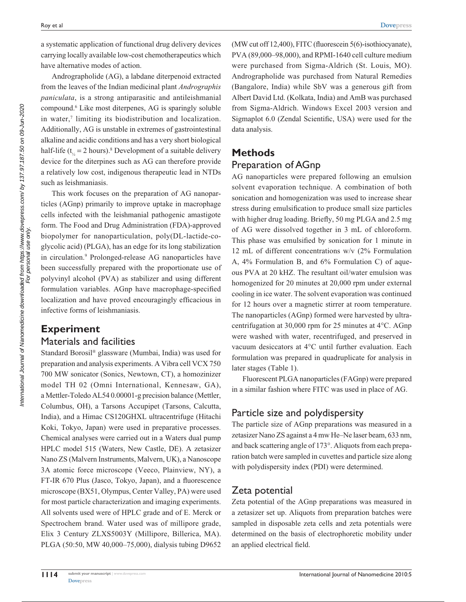a systematic application of functional drug delivery devices carrying locally available low-cost chemotherapeutics which have alternative modes of action.

Andrographolide (AG), a labdane diterpenoid extracted from the leaves of the Indian medicinal plant *Andrographis paniculata*, is a strong antiparasitic and antileishmanial compound.6 Like most diterpenes, AG is sparingly soluble in water,<sup>7</sup> limiting its biodistribution and localization. Additionally, AG is unstable in extremes of gastrointestinal alkaline and acidic conditions and has a very short biological half-life ( $t_{\gamma} = 2$  hours).<sup>8</sup> Development of a suitable delivery device for the diterpines such as AG can therefore provide a relatively low cost, indigenous therapeutic lead in NTDs such as leishmaniasis.

This work focuses on the preparation of AG nanoparticles (AGnp) primarily to improve uptake in macrophage cells infected with the leishmanial pathogenic amastigote form. The Food and Drug Administration (FDA)-approved biopolymer for nanoparticulation, poly(DL-lactide-coglycolic acid) (PLGA), has an edge for its long stabilization in circulation.<sup>9</sup> Prolonged-release AG nanoparticles have been successfully prepared with the proportionate use of polyvinyl alcohol (PVA) as stabilizer and using different formulation variables. AGnp have macrophage-specified localization and have proved encouragingly efficacious in infective forms of leishmaniasis.

## **Experiment** Materials and facilities

Standard Borosil® glassware (Mumbai, India) was used for preparation and analysis experiments. A Vibra cell VCX 750 700 MW sonicator (Sonics, Newtown, CT), a homozinizer model TH 02 (Omni International, Kennesaw, GA), a Mettler-Toledo AL54 0.00001-g precision balance (Mettler, Columbus, OH), a Tarsons Accupipet (Tarsons, Calcutta, India), and a Himac CS120GHXL ultracentrifuge (Hitachi Koki, Tokyo, Japan) were used in preparative processes. Chemical analyses were carried out in a Waters dual pump HPLC model 515 (Waters, New Castle, DE). A zetasizer Nano ZS (Malvern Instruments, Malvern, UK), a Nanoscope 3A atomic force microscope (Veeco, Plainview, NY), a FT-IR 670 Plus (Jasco, Tokyo, Japan), and a fluorescence microscope (BX51, Olympus, Center Valley, PA) were used for most particle characterization and imaging experiments. All solvents used were of HPLC grade and of E. Merck or Spectrochem brand. Water used was of millipore grade, Elix 3 Century ZLXS5003Y (Millipore, Billerica, MA). PLGA (50:50, MW 40,000–75,000), dialysis tubing D9652 (MW cut off 12,400), FITC (fluorescein 5(6)-isothiocyanate), PVA (89,000–98,000), and RPMI-1640 cell culture medium were purchased from Sigma-Aldrich (St. Louis, MO). Andrographolide was purchased from Natural Remedies (Bangalore, India) while SbV was a generous gift from Albert David Ltd. (Kolkata, India) and AmB was purchased from Sigma-Aldrich. Windows Excel 2003 version and Sigmaplot 6.0 (Zendal Scientific, USA) were used for the data analysis.

# **Methods**

# Preparation of AGnp

AG nanoparticles were prepared following an emulsion solvent evaporation technique. A combination of both sonication and homogenization was used to increase shear stress during emulsification to produce small size particles with higher drug loading. Briefly, 50 mg PLGA and 2.5 mg of AG were dissolved together in 3 mL of chloroform. This phase was emulsified by sonication for 1 minute in 12 mL of different concentrations w/v (2% Formulation A, 4% Formulation B, and 6% Formulation C) of aqueous PVA at 20 kHZ. The resultant oil/water emulsion was homogenized for 20 minutes at 20,000 rpm under external cooling in ice water. The solvent evaporation was continued for 12 hours over a magnetic stirrer at room temperature. The nanoparticles (AGnp) formed were harvested by ultracentrifugation at 30,000 rpm for 25 minutes at 4°C. AGnp were washed with water, recentrifuged, and preserved in vacuum desiccators at 4°C until further evaluation. Each formulation was prepared in quadruplicate for analysis in later stages (Table 1).

Fluorescent PLGA nanoparticles (FAGnp) were prepared in a similar fashion where FITC was used in place of AG.

# Particle size and polydispersity

The particle size of AGnp preparations was measured in a zetasizer Nano ZS against a 4 mw He–Ne laser beam, 633 nm, and back scattering angle of 173°. Aliquots from each preparation batch were sampled in cuvettes and particle size along with polydispersity index (PDI) were determined.

# Zeta potential

Zeta potential of the AGnp preparations was measured in a zetasizer set up. Aliquots from preparation batches were sampled in disposable zeta cells and zeta potentials were determined on the basis of electrophoretic mobility under an applied electrical field.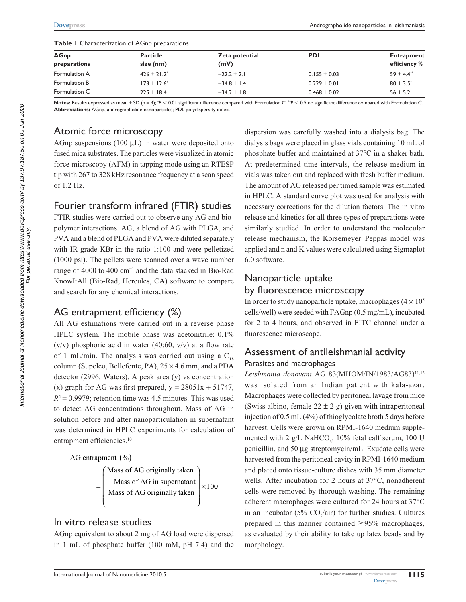| <b>AGnp</b>   | <b>Particle</b><br>size (nm) | Zeta potential<br>(mV) | <b>PDI</b>       | <b>Entrapment</b><br>efficiency % |
|---------------|------------------------------|------------------------|------------------|-----------------------------------|
| preparations  |                              |                        |                  |                                   |
| Formulation A | $426 \pm 21.2$ <sup>*</sup>  | $-22.2 \pm 2.1$        | $0.155 \pm 0.03$ | $59 \pm 4.4$ <sup>**</sup>        |
| Formulation B | $173 \pm 12.6^*$             | $-34.8 \pm 1.4$        | $0.229 \pm 0.01$ | $80 \pm 3.5^*$                    |
| Formulation C | $225 \pm 18.4$               | $-34.2 \pm 1.8$        | $0.468 \pm 0.02$ | $56 \pm 5.2$                      |

**Table I** Characterization of AGnp preparations

as mean  $\pm$  SD (n = 4);  $\degree$ P  $<$  0.01 significantly *P* , 0.01 significant difference compared with Formulation C; *\*\*P* , 0.5 no significant difference compared with Formulation C. **Abbreviations:** AGnp, andrographolide nanoparticles; PDI, polydispersity index.

# Atomic force microscopy

AGnp suspensions  $(100 \mu L)$  in water were deposited onto fused mica substrates. The particles were visualized in atomic force microscopy (AFM) in tapping mode using an RTESP tip with 267 to 328 kHz resonance frequency at a scan speed of 1.2 Hz.

# Fourier transform infrared (FTIR) studies

FTIR studies were carried out to observe any AG and biopolymer interactions. AG, a blend of AG with PLGA, and PVA and a blend of PLGA and PVA were diluted separately with IR grade KBr in the ratio 1:100 and were pelletized (1000 psi). The pellets were scanned over a wave number range of 4000 to 400 cm<sup>-1</sup> and the data stacked in Bio-Rad KnowItAll (Bio-Rad, Hercules, CA) software to compare and search for any chemical interactions.

# AG entrapment efficiency (%)

All AG estimations were carried out in a reverse phase HPLC system. The mobile phase was acetonitrile: 0.1%  $(v/v)$  phosphoric acid in water (40:60,  $v/v$ ) at a flow rate of 1 mL/min. The analysis was carried out using a  $C_{18}$ column (Supelco, Bellefonte, PA),  $25 \times 4.6$  mm, and a PDA detector (2996, Waters). A peak area (y) vs concentration (x) graph for AG was first prepared,  $y = 28051x + 51747$ ,  $R<sup>2</sup> = 0.9979$ ; retention time was 4.5 minutes. This was used to detect AG concentrations throughout. Mass of AG in solution before and after nanoparticulation in supernatant was determined in HPLC experiments for calculation of entrapment efficiencies.<sup>10</sup>



## In vitro release studies

AGnp equivalent to about 2 mg of AG load were dispersed in 1 mL of phosphate buffer (100 mM, pH 7.4) and the dispersion was carefully washed into a dialysis bag. The dialysis bags were placed in glass vials containing 10 mL of phosphate buffer and maintained at 37°C in a shaker bath. At predetermined time intervals, the release medium in vials was taken out and replaced with fresh buffer medium. The amount of AG released per timed sample was estimated in HPLC. A standard curve plot was used for analysis with necessary corrections for the dilution factors. The in vitro release and kinetics for all three types of preparations were similarly studied. In order to understand the molecular release mechanism, the Korsemeyer–Peppas model was applied and n and K values were calculated using Sigmaplot 6.0 software.

# Nanoparticle uptake by fluorescence microscopy

In order to study nanoparticle uptake, macrophages  $(4 \times 10^5)$ cells/well) were seeded with FAGnp (0.5 mg/mL), incubated for 2 to 4 hours, and observed in FITC channel under a fluorescence microscope.

# Assessment of antileishmanial activity Parasites and macrophages

Leishmania donovani AG 83(MHOM/IN/1983/AG83)<sup>11,12</sup> was isolated from an Indian patient with kala-azar. Macrophages were collected by peritoneal lavage from mice (Swiss albino, female  $22 \pm 2$  g) given with intraperitoneal injection of 0.5 mL (4%) of thioglycolate broth 5 days before harvest. Cells were grown on RPMI-1640 medium supplemented with 2  $g/L$  NaHCO<sub>3</sub>, 10% fetal calf serum, 100 U penicillin, and 50 µg streptomycin/mL. Exudate cells were harvested from the peritoneal cavity in RPMI-1640 medium and plated onto tissue-culture dishes with 35 mm diameter wells. After incubation for 2 hours at 37°C, nonadherent cells were removed by thorough washing. The remaining adherent macrophages were cultured for 24 hours at 37°C in an incubator (5%  $CO_2/air$ ) for further studies. Cultures prepared in this manner contained  $\geq 95\%$  macrophages, as evaluated by their ability to take up latex beads and by morphology.

For personal use only.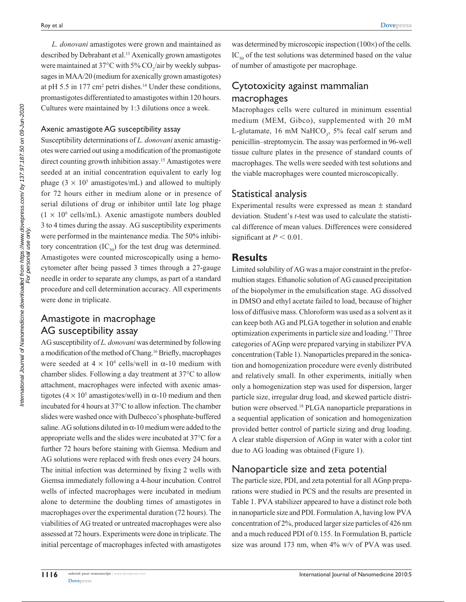*L. donovani* amastigotes were grown and maintained as described by Debrabant et al.<sup>13</sup> Axenically grown amastigotes were maintained at 37°C with 5%  $CO_2/$ air by weekly subpassages in MAA/20 (medium for axenically grown amastigotes) at pH 5.5 in  $177 \text{ cm}^2$  petri dishes.<sup>14</sup> Under these conditions, promastigotes differentiated to amastigotes within 120 hours. Cultures were maintained by 1:3 dilutions once a week.

#### Axenic amastigote AG susceptibility assay

Susceptibility determinations of *L. donovani* axenic amastigotes were carried out using a modification of the promastigote direct counting growth inhibition assay.15 Amastigotes were seeded at an initial concentration equivalent to early log phage  $(3 \times 10^5 \text{ amastigotes/mL})$  and allowed to multiply for 72 hours either in medium alone or in presence of serial dilutions of drug or inhibitor until late log phage  $(1 \times 10^6 \text{ cells/mL})$ . Axenic amastigote numbers doubled 3 to 4 times during the assay. AG susceptibility experiments were performed in the maintenance media. The 50% inhibitory concentration  $(IC_{50})$  for the test drug was determined. Amastigotes were counted microscopically using a hemocytometer after being passed 3 times through a 27-gauge needle in order to separate any clumps, as part of a standard procedure and cell determination accuracy. All experiments were done in triplicate.

# Amastigote in macrophage AG susceptibility assay

AG susceptibility of *L. donovani* was determined by following a modification of the method of Chang.16 Briefly, macrophages were seeded at  $4 \times 10^4$  cells/well in  $\alpha$ -10 medium with chamber slides. Following a day treatment at 37°C to allow attachment, macrophages were infected with axenic amastigotes  $(4 \times 10^5$  amastigotes/well) in  $\alpha$ -10 medium and then incubated for 4 hours at 37°C to allow infection. The chamber slides were washed once with Dulbecco's phosphate-buffered saline. AG solutions diluted in  $\alpha$ -10 medium were added to the appropriate wells and the slides were incubated at 37°C for a further 72 hours before staining with Giemsa. Medium and AG solutions were replaced with fresh ones every 24 hours. The initial infection was determined by fixing 2 wells with Giemsa immediately following a 4-hour incubation. Control wells of infected macrophages were incubated in medium alone to determine the doubling times of amastigotes in macrophages over the experimental duration (72 hours). The viabilities of AG treated or untreated macrophages were also assessed at 72 hours. Experiments were done in triplicate. The initial percentage of macrophages infected with amastigotes

was determined by microscopic inspection (100×) of the cells.  $IC_{50}$  of the test solutions was determined based on the value of number of amastigote per macrophage.

# Cytotoxicity against mammalian macrophages

Macrophages cells were cultured in minimum essential medium (MEM, Gibco), supplemented with 20 mM L-glutamate, 16 mM NaHCO<sub>3</sub>, 5% fecal calf serum and penicillin–streptomycin. The assay was performed in 96-well tissue culture plates in the presence of standard counts of macrophages. The wells were seeded with test solutions and the viable macrophages were counted microscopically.

## Statistical analysis

Experimental results were expressed as mean ± standard deviation. Student's *t*-test was used to calculate the statistical difference of mean values. Differences were considered significant at  $P < 0.01$ .

#### **Results**

Limited solubility of AG was a major constraint in the preformultion stages. Ethanolic solution of AG caused precipitation of the biopolymer in the emulsification stage. AG dissolved in DMSO and ethyl acetate failed to load, because of higher loss of diffusive mass. Chloroform was used as a solvent as it can keep both AG and PLGA together in solution and enable optimization experiments in particle size and loading.17 Three categories of AGnp were prepared varying in stabilizer PVA concentration (Table 1). Nanoparticles prepared in the sonication and homogenization procedure were evenly distributed and relatively small. In other experiments, initially when only a homogenization step was used for dispersion, larger particle size, irregular drug load, and skewed particle distribution were observed.18 PLGA nanoparticle preparations in a sequential application of sonication and homogenization provided better control of particle sizing and drug loading. A clear stable dispersion of AGnp in water with a color tint due to AG loading was obtained (Figure 1).

# Nanoparticle size and zeta potential

The particle size, PDI, and zeta potential for all AGnp preparations were studied in PCS and the results are presented in Table 1. PVA stabilizer appeared to have a distinct role both in nanoparticle size and PDI. Formulation A, having low PVA concentration of 2%, produced larger size particles of 426 nm and a much reduced PDI of 0.155. In Formulation B, particle size was around 173 nm, when 4% w/v of PVA was used.

For personal use only.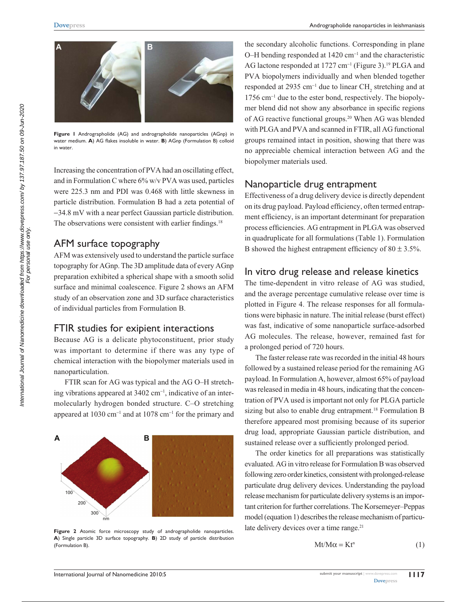

**Figure 1** Andrographolide (AG) and andrographolide nanoparticles (AGnp) in water medium. **A**) AG flakes insoluble in water. **B**) AGnp (Formulation B) colloid in water.

Increasing the concentration of PVA had an oscillating effect, and in Formulation C where 6% w/v PVA was used, particles were 225.3 nm and PDI was 0.468 with little skewness in particle distribution. Formulation B had a zeta potential of -34.8 mV with a near perfect Gaussian particle distribution. The observations were consistent with earlier findings.<sup>18</sup>

# AFM surface topography

AFM was extensively used to understand the particle surface topography for AGnp. The 3D amplitude data of every AGnp preparation exhibited a spherical shape with a smooth solid surface and minimal coalescence. Figure 2 shows an AFM study of an observation zone and 3D surface characteristics of individual particles from Formulation B.

## FTIR studies for exipient interactions

Because AG is a delicate phytoconstituent, prior study was important to determine if there was any type of chemical interaction with the biopolymer materials used in nanoparticulation.

FTIR scan for AG was typical and the AG O–H stretching vibrations appeared at 3402 cm<sup>-1</sup>, indicative of an intermolecularly hydrogen bonded structure. C–O stretching appeared at  $1030 \text{ cm}^{-1}$  and at  $1078 \text{ cm}^{-1}$  for the primary and



Figure 2 Atomic force microscopy study of andrographolide nanoparticles. **A**) Single particle 3D surface topography. **B**) 2D study of particle distribution (Formulation B).

the secondary alcoholic functions. Corresponding in plane O–H bending responded at 1420 cm<sup>-1</sup> and the characteristic AG lactone responded at 1727 cm<sup>-1</sup> (Figure 3).<sup>19</sup> PLGA and PVA biopolymers individually and when blended together responded at 2935  $cm^{-1}$  due to linear CH<sub>2</sub> stretching and at 1756 cm<sup>-1</sup> due to the ester bond, respectively. The biopolymer blend did not show any absorbance in specific regions of AG reactive functional groups.20 When AG was blended with PLGA and PVA and scanned in FTIR, all AG functional groups remained intact in position, showing that there was no appreciable chemical interaction between AG and the biopolymer materials used.

# Nanoparticle drug entrapment

Effectiveness of a drug delivery device is directly dependent on its drug payload. Payload efficiency, often termed entrapment efficiency, is an important determinant for preparation process efficiencies. AG entrapment in PLGA was observed in quadruplicate for all formulations (Table 1). Formulation B showed the highest entrapment efficiency of  $80 \pm 3.5\%$ .

# In vitro drug release and release kinetics

The time-dependent in vitro release of AG was studied, and the average percentage cumulative release over time is plotted in Figure 4. The release responses for all formulations were biphasic in nature. The initial release (burst effect) was fast, indicative of some nanoparticle surface-adsorbed AG molecules. The release, however, remained fast for a prolonged period of 720 hours.

The faster release rate was recorded in the initial 48 hours followed by a sustained release period for the remaining AG payload. In Formulation A, however, almost 65% of payload was released in media in 48 hours, indicating that the concentration of PVA used is important not only for PLGA particle sizing but also to enable drug entrapment.<sup>18</sup> Formulation B therefore appeared most promising because of its superior drug load, appropriate Gaussian particle distribution, and sustained release over a sufficiently prolonged period.

The order kinetics for all preparations was statistically evaluated. AG in vitro release for Formulation B was observed following zero order kinetics, consistent with prolonged-release particulate drug delivery devices. Understanding the payload release mechanism for particulate delivery systems is an important criterion for further correlations. The Korsemeyer–Peppas model (equation 1) describes the release mechanism of particulate delivery devices over a time range.<sup>21</sup>

$$
Mt/M\alpha = Kt^n \tag{1}
$$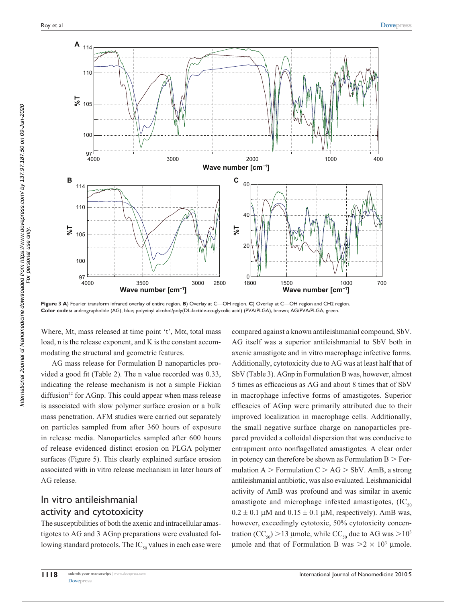

Figure 3 A) Fourier transform infrared overlay of entire region. B) Overlay at C-OH region. C) Overlay at C-OH region and CH2 region. **Color codes:** andrographolide (AG), blue; polyvinyl alcohol/poly(DL-lactide-co-glycolic acid) (PVA/PLGA), brown; AG/PVA/PLGA, green.

Where, Mt, mass released at time point 't',  $M\alpha$ , total mass load, n is the release exponent, and K is the constant accommodating the structural and geometric features.

AG mass release for Formulation B nanoparticles provided a good fit (Table 2). The n value recorded was 0.33, indicating the release mechanism is not a simple Fickian diffusion<sup>22</sup> for AGnp. This could appear when mass release is associated with slow polymer surface erosion or a bulk mass penetration. AFM studies were carried out separately on particles sampled from after 360 hours of exposure in release media. Nanoparticles sampled after 600 hours of release evidenced distinct erosion on PLGA polymer surfaces (Figure 5). This clearly explained surface erosion associated with in vitro release mechanism in later hours of AG release.

# In vitro antileishmanial activity and cytotoxicity

The susceptibilities of both the axenic and intracellular amastigotes to AG and 3 AGnp preparations were evaluated following standard protocols. The  $IC_{50}$  values in each case were compared against a known antileishmanial compound, SbV. AG itself was a superior antileishmanial to SbV both in axenic amastigote and in vitro macrophage infective forms. Additionally, cytotoxicity due to AG was at least half that of SbV (Table 3). AGnp in Formulation B was, however, almost 5 times as efficacious as AG and about 8 times that of SbV in macrophage infective forms of amastigotes. Superior efficacies of AGnp were primarily attributed due to their improved localization in macrophage cells. Additionally, the small negative surface charge on nanoparticles prepared provided a colloidal dispersion that was conducive to entrapment onto nonflagellated amastigotes. A clear order in potency can therefore be shown as Formulation  $B >$  Formulation  $A >$  Formulation  $C > AG >$  SbV. AmB, a strong antileishmanial antibiotic, was also evaluated. Leishmanicidal activity of AmB was profound and was similar in axenic amastigote and microphage infested amastigotes,  $(IC_{50})$  $0.2 \pm 0.1 \mu$ M and  $0.15 \pm 0.1 \mu$ M, respectively). AmB was, however, exceedingly cytotoxic, 50% cytotoxicity concentration (CC<sub>50</sub>) > 13 µmole, while CC<sub>50</sub> due to AG was > 10<sup>3</sup> µmole and that of Formulation B was  $>2 \times 10^3$  µmole.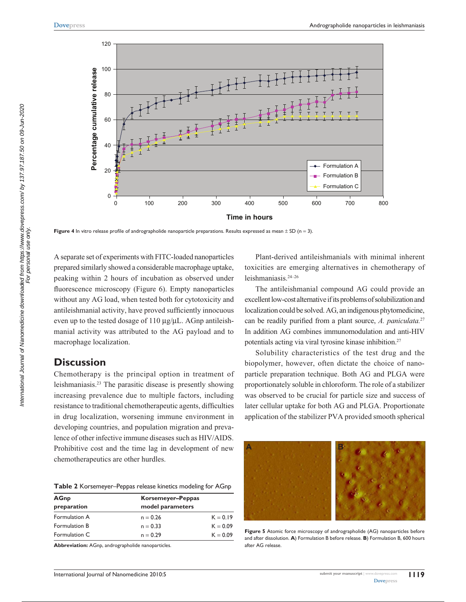

**Figure 4** In vitro release profile of andrographolide nanoparticle preparations. Results expressed as mean ± SD (n = 3).

A separate set of experiments with FITC-loaded nanoparticles prepared similarly showed a considerable macrophage uptake, peaking within 2 hours of incubation as observed under fluorescence microscopy (Figure 6). Empty nanoparticles without any AG load, when tested both for cytotoxicity and antileishmanial activity, have proved sufficiently innocuous even up to the tested dosage of  $110 \mu g/\mu L$ . AGnp antileishmanial activity was attributed to the AG payload and to macrophage localization.

# **Discussion**

Chemotherapy is the principal option in treatment of leishmaniasis.23 The parasitic disease is presently showing increasing prevalence due to multiple factors, including resistance to traditional chemotherapeutic agents, difficulties in drug localization, worsening immune environment in developing countries, and population migration and prevalence of other infective immune diseases such as HIV/AIDS. Prohibitive cost and the time lag in development of new chemotherapeutics are other hurdles.

**Table 2** Korsemeyer–Peppas release kinetics modeling for AGnp

| <b>AGnp</b>   | Korsemeyer-Peppas |            |
|---------------|-------------------|------------|
| preparation   | model parameters  |            |
| Formulation A | $n = 0.26$        | $K = 0.19$ |
| Formulation B | $n = 0.33$        | $K = 0.09$ |
| Formulation C | $n = 0.29$        | $K = 0.09$ |
|               |                   |            |

**Abbreviation:** AGnp, andrographolide nanoparticles.

Plant-derived antileishmanials with minimal inherent toxicities are emerging alternatives in chemotherapy of leishmaniasis.24–26

The antileishmanial compound AG could provide an excellent low-cost alternative if its problems of solubilization and localization could be solved. AG, an indigenous phytomedicine, can be readily purified from a plant source, *A. paniculata.*<sup>27</sup> In addition AG combines immunomodulation and anti-HIV potentials acting via viral tyrosine kinase inhibition.<sup>27</sup>

Solubility characteristics of the test drug and the biopolymer, however, often dictate the choice of nanoparticle preparation technique. Both AG and PLGA were proportionately soluble in chloroform. The role of a stabilizer was observed to be crucial for particle size and success of later cellular uptake for both AG and PLGA. Proportionate application of the stabilizer PVA provided smooth spherical



**Figure 5** Atomic force microscopy of andrographolide (AG) nanoparticles before and after dissolution. **A**) Formulation B before release. **B**) Formulation B, 600 hours after AG release.

International Journal of Nanomedicine downloaded from https://www.dovepress.com/ by 137.97.187.50 on 09-Jun-2020 For personal use only.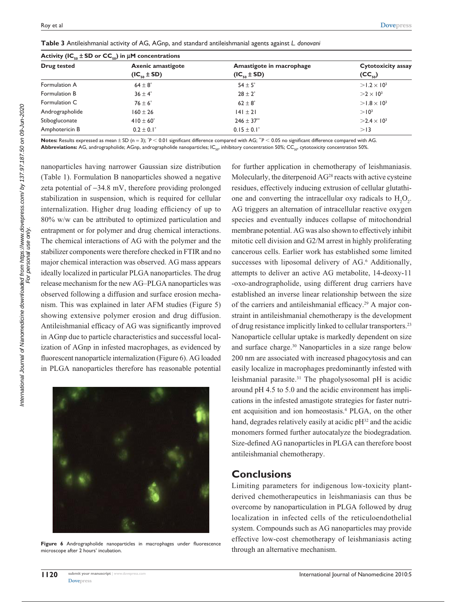| Drug tested     | <b>Axenic amastigote</b>   | Amastigote in macrophage   | Cytotoxicity assay   |
|-----------------|----------------------------|----------------------------|----------------------|
|                 | $(IC_{\epsilon_0} \pm SD)$ | $(IC_{\epsilon_0} \pm SD)$ | $(CC_{50})$          |
| Formulation A   | $64 \pm 8$                 | $54 \pm 5^*$               | $>1.2 \times 10^{3}$ |
| Formulation B   | $36 \pm 4^*$               | $28 + 2^*$                 | $>2\times10^3$       |
| Formulation C   | $76 \pm 6^*$               | $62 \pm 8^*$               | $>1.8 \times 10^{3}$ |
| Andrographolide | $160 \pm 26$               | $141 \pm 21$               | > 10 <sup>3</sup>    |
| Stibogluconate  | $410 \pm 60^*$             | $246 \pm 37$ <sup>**</sup> | $>2.4\times10^{3}$   |
| Amphotericin B  | $0.2 \pm 0.1^*$            | $0.15 \pm 0.1^*$           | >13                  |

**Table 3** Antileishmanial activity of AG, AGnp, and standard antileishmanial agents against *L. donovani*

<code>Notes:</code> Results expressed as mean  $\pm$  SD (n = 3);  $^{\circ}P$  < 0.01 significant difference compared with AG.  $^{\circ}P$  < 0.05 no significant difference compared with AG. Abbreviations: AG, andrographolide; AGnp, andrographolide nanoparticles; IC<sub>50</sub>, inhibitory concentration 50%; CC<sub>50</sub>, cytotoxicity concentration 50%.

nanoparticles having narrower Gaussian size distribution (Table 1). Formulation B nanoparticles showed a negative zeta potential of -34.8 mV, therefore providing prolonged stabilization in suspension, which is required for cellular internalization. Higher drug loading efficiency of up to 80% w/w can be attributed to optimized particulation and entrapment or for polymer and drug chemical interactions. The chemical interactions of AG with the polymer and the stabilizer components were therefore checked in FTIR and no major chemical interaction was observed. AG mass appears ideally localized in particular PLGA nanoparticles. The drug release mechanism for the new AG–PLGA nanoparticles was observed following a diffusion and surface erosion mechanism. This was explained in later AFM studies (Figure 5) showing extensive polymer erosion and drug diffusion. Antileishmanial efficacy of AG was significantly improved in AGnp due to particle characteristics and successful localization of AGnp in infested macrophages, as evidenced by fluorescent nanoparticle internalization (Figure 6). AG loaded in PLGA nanoparticles therefore has reasonable potential



Figure 6 Andrographolide nanoparticles in macrophages under fluorescence microscope after 2 hours' incubation.

for further application in chemotherapy of leishmaniasis. Molecularly, the diterpenoid  $AG<sup>28</sup>$  reacts with active cysteine residues, effectively inducing extrusion of cellular glutathione and converting the intracellular oxy radicals to  $H_2O_2$ . AG triggers an alternation of intracellular reactive oxygen species and eventually induces collapse of mitochondrial membrane potential. AG was also shown to effectively inhibit mitotic cell division and G2/M arrest in highly proliferating cancerous cells. Earlier work has established some limited successes with liposomal delivery of AG.<sup>6</sup> Additionally, attempts to deliver an active AG metabolite, 14-deoxy-11 -oxo-andrographolide, using different drug carriers have established an inverse linear relationship between the size of the carriers and antileishmanial efficacy.<sup>29</sup> A major constraint in antileishmanial chemotherapy is the development of drug resistance implicitly linked to cellular transporters.23 Nanoparticle cellular uptake is markedly dependent on size and surface charge.30 Nanoparticles in a size range below 200 nm are associated with increased phagocytosis and can easily localize in macrophages predominantly infested with leishmanial parasite.31 The phagolysosomal pH is acidic around pH 4.5 to 5.0 and the acidic environment has implications in the infested amastigote strategies for faster nutrient acquisition and ion homeostasis.4 PLGA, on the other hand, degrades relatively easily at acidic  $pH<sup>32</sup>$  and the acidic monomers formed further autocatalyze the biodegradation. Size-defined AG nanoparticles in PLGA can therefore boost antileishmanial chemotherapy.

# **Conclusions**

Limiting parameters for indigenous low-toxicity plantderived chemotherapeutics in leishmaniasis can thus be overcome by nanoparticulation in PLGA followed by drug localization in infected cells of the reticuloendothelial system. Compounds such as AG nanoparticles may provide effective low-cost chemotherapy of leishmaniasis acting through an alternative mechanism.